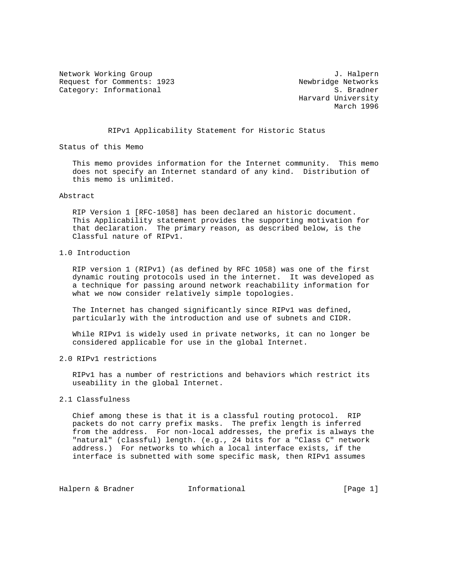Network Working Group J. Halpern Request for Comments: 1923<br>Category: Informational Newbridge Networks Category: Informational

 Harvard University March 1996

# RIPv1 Applicability Statement for Historic Status

Status of this Memo

 This memo provides information for the Internet community. This memo does not specify an Internet standard of any kind. Distribution of this memo is unlimited.

#### Abstract

 RIP Version 1 [RFC-1058] has been declared an historic document. This Applicability statement provides the supporting motivation for that declaration. The primary reason, as described below, is the Classful nature of RIPv1.

# 1.0 Introduction

 RIP version 1 (RIPv1) (as defined by RFC 1058) was one of the first dynamic routing protocols used in the internet. It was developed as a technique for passing around network reachability information for what we now consider relatively simple topologies.

 The Internet has changed significantly since RIPv1 was defined, particularly with the introduction and use of subnets and CIDR.

 While RIPv1 is widely used in private networks, it can no longer be considered applicable for use in the global Internet.

### 2.0 RIPv1 restrictions

 RIPv1 has a number of restrictions and behaviors which restrict its useability in the global Internet.

# 2.1 Classfulness

 Chief among these is that it is a classful routing protocol. RIP packets do not carry prefix masks. The prefix length is inferred from the address. For non-local addresses, the prefix is always the "natural" (classful) length. (e.g., 24 bits for a "Class C" network address.) For networks to which a local interface exists, if the interface is subnetted with some specific mask, then RIPv1 assumes

Halpern & Bradner 1nformational [Page 1]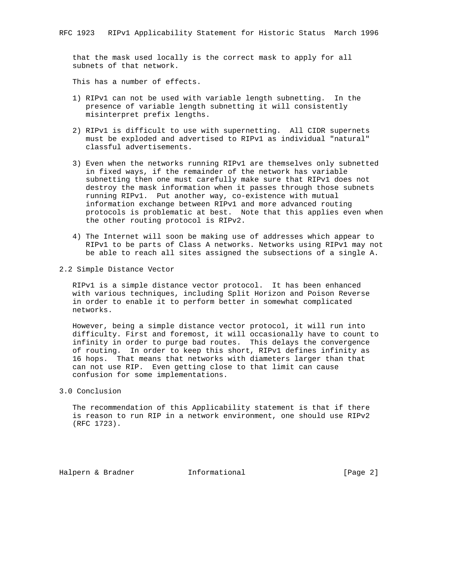that the mask used locally is the correct mask to apply for all subnets of that network.

This has a number of effects.

- 1) RIPv1 can not be used with variable length subnetting. In the presence of variable length subnetting it will consistently misinterpret prefix lengths.
- 2) RIPv1 is difficult to use with supernetting. All CIDR supernets must be exploded and advertised to RIPv1 as individual "natural" classful advertisements.
- 3) Even when the networks running RIPv1 are themselves only subnetted in fixed ways, if the remainder of the network has variable subnetting then one must carefully make sure that RIPv1 does not destroy the mask information when it passes through those subnets running RIPv1. Put another way, co-existence with mutual information exchange between RIPv1 and more advanced routing protocols is problematic at best. Note that this applies even when the other routing protocol is RIPv2.
- 4) The Internet will soon be making use of addresses which appear to RIPv1 to be parts of Class A networks. Networks using RIPv1 may not be able to reach all sites assigned the subsections of a single A.

# 2.2 Simple Distance Vector

 RIPv1 is a simple distance vector protocol. It has been enhanced with various techniques, including Split Horizon and Poison Reverse in order to enable it to perform better in somewhat complicated networks.

 However, being a simple distance vector protocol, it will run into difficulty. First and foremost, it will occasionally have to count to infinity in order to purge bad routes. This delays the convergence of routing. In order to keep this short, RIPv1 defines infinity as 16 hops. That means that networks with diameters larger than that can not use RIP. Even getting close to that limit can cause confusion for some implementations.

3.0 Conclusion

 The recommendation of this Applicability statement is that if there is reason to run RIP in a network environment, one should use RIPv2 (RFC 1723).

Halpern & Bradner **Informational Informational** [Page 2]